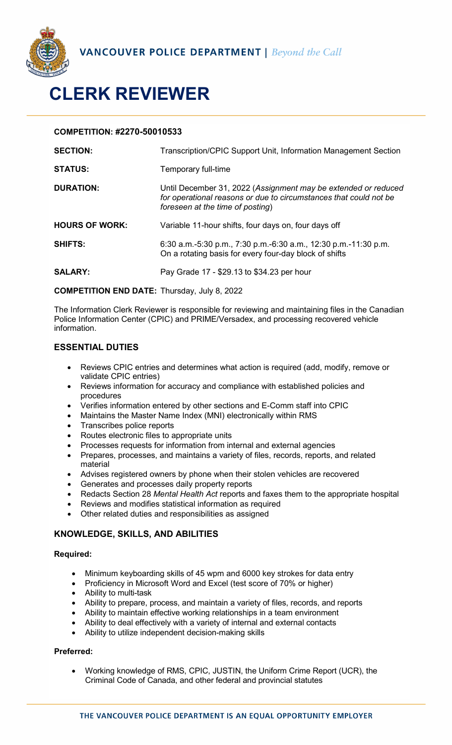

# **CLERK REVIEWER**

### **COMPETITION: #2270-50010533**

| <b>SECTION:</b>       | Transcription/CPIC Support Unit, Information Management Section                                                                                                         |
|-----------------------|-------------------------------------------------------------------------------------------------------------------------------------------------------------------------|
| <b>STATUS:</b>        | Temporary full-time                                                                                                                                                     |
| <b>DURATION:</b>      | Until December 31, 2022 (Assignment may be extended or reduced<br>for operational reasons or due to circumstances that could not be<br>foreseen at the time of posting) |
| <b>HOURS OF WORK:</b> | Variable 11-hour shifts, four days on, four days off                                                                                                                    |
| <b>SHIFTS:</b>        | 6:30 a.m.-5:30 p.m., 7:30 p.m.-6:30 a.m., 12:30 p.m.-11:30 p.m.<br>On a rotating basis for every four-day block of shifts                                               |
| <b>SALARY:</b>        | Pay Grade 17 - \$29.13 to \$34.23 per hour                                                                                                                              |

**COMPETITION END DATE:** Thursday, July 8, 2022

The Information Clerk Reviewer is responsible for reviewing and maintaining files in the Canadian Police Information Center (CPIC) and PRIME/Versadex, and processing recovered vehicle information.

# **ESSENTIAL DUTIES**

- Reviews CPIC entries and determines what action is required (add, modify, remove or validate CPIC entries)
- Reviews information for accuracy and compliance with established policies and procedures
- Verifies information entered by other sections and E-Comm staff into CPIC
- Maintains the Master Name Index (MNI) electronically within RMS
- Transcribes police reports
- Routes electronic files to appropriate units
- Processes requests for information from internal and external agencies
- Prepares, processes, and maintains a variety of files, records, reports, and related material
- Advises registered owners by phone when their stolen vehicles are recovered
- Generates and processes daily property reports
- Redacts Section 28 *Mental Health Act* reports and faxes them to the appropriate hospital
- Reviews and modifies statistical information as required
- Other related duties and responsibilities as assigned

# **KNOWLEDGE, SKILLS, AND ABILITIES**

#### **Required:**

- Minimum keyboarding skills of 45 wpm and 6000 key strokes for data entry
- Proficiency in Microsoft Word and Excel (test score of 70% or higher)
- Ability to multi-task
- Ability to prepare, process, and maintain a variety of files, records, and reports
- Ability to maintain effective working relationships in a team environment
- Ability to deal effectively with a variety of internal and external contacts
- Ability to utilize independent decision-making skills

#### **Preferred:**

• Working knowledge of RMS, CPIC, JUSTIN, the Uniform Crime Report (UCR), the Criminal Code of Canada, and other federal and provincial statutes